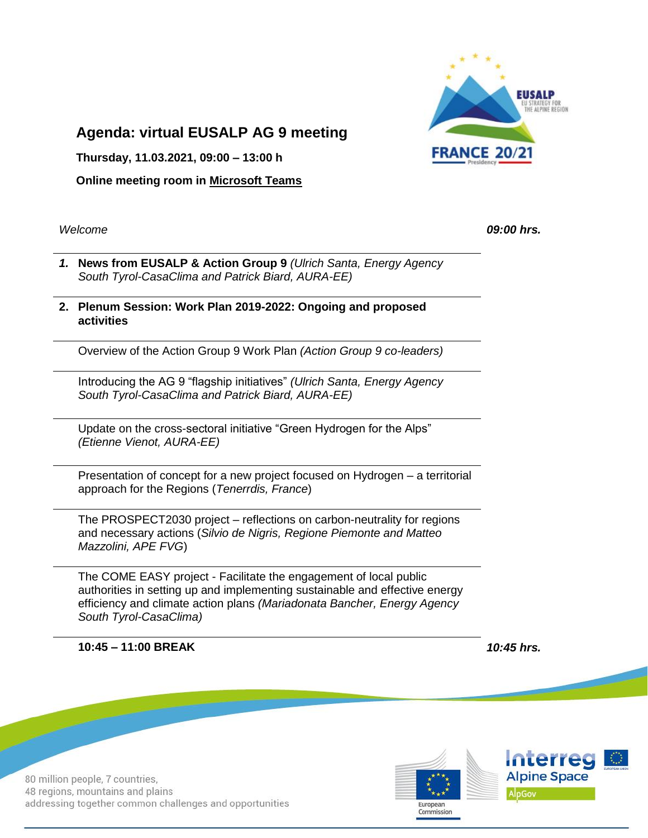

## **Agenda: virtual EUSALP AG 9 meeting**

**Thursday, 11.03.2021, 09:00 – 13:00 h**

**Online meeting room in Microsoft Teams**

*Welcome 09:00 hrs.*

- *1.* **News from EUSALP & Action Group 9** *(Ulrich Santa, Energy Agency South Tyrol-CasaClima and Patrick Biard, AURA-EE)*
- **2. Plenum Session: Work Plan 2019-2022: Ongoing and proposed activities**

Overview of the Action Group 9 Work Plan *(Action Group 9 co-leaders)*

Introducing the AG 9 "flagship initiatives" *(Ulrich Santa, Energy Agency South Tyrol-CasaClima and Patrick Biard, AURA-EE)*

Update on the cross-sectoral initiative "Green Hydrogen for the Alps" *(Etienne Vienot, AURA-EE)*

Presentation of concept for a new project focused on Hydrogen – a territorial approach for the Regions (*Tenerrdis, France*)

The PROSPECT2030 project – reflections on carbon-neutrality for regions and necessary actions (*Silvio de Nigris, Regione Piemonte and Matteo Mazzolini, APE FVG*)

The COME EASY project - Facilitate the engagement of local public authorities in setting up and implementing sustainable and effective energy efficiency and climate action plans *(Mariadonata Bancher, Energy Agency South Tyrol-CasaClima)*

**10:45 – 11:00 BREAK** *10:45 hrs.*